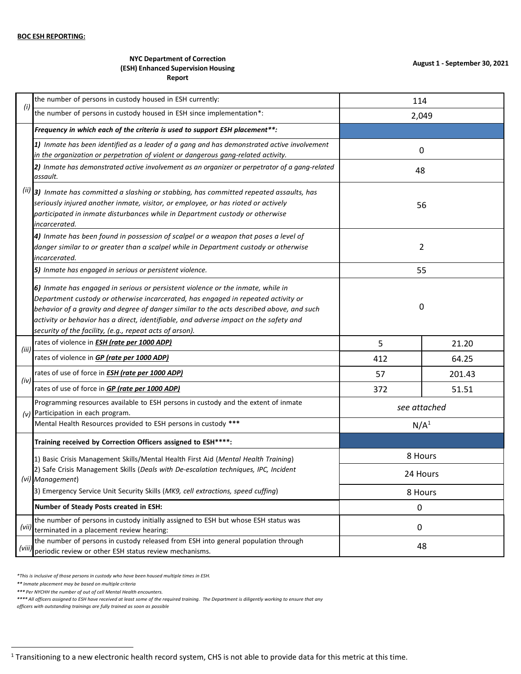## **NYC Department of Correction (ESH) Enhanced Supervision Housing Report**

|        | the number of persons in custody housed in ESH currently:                                                                                                                                                                                                                                                                                                                                                            | 114              |        |  |
|--------|----------------------------------------------------------------------------------------------------------------------------------------------------------------------------------------------------------------------------------------------------------------------------------------------------------------------------------------------------------------------------------------------------------------------|------------------|--------|--|
| (i)    | the number of persons in custody housed in ESH since implementation*:                                                                                                                                                                                                                                                                                                                                                | 2,049            |        |  |
|        | Frequency in which each of the criteria is used to support ESH placement**:                                                                                                                                                                                                                                                                                                                                          |                  |        |  |
|        | 1) Inmate has been identified as a leader of a gang and has demonstrated active involvement<br>in the organization or perpetration of violent or dangerous gang-related activity.                                                                                                                                                                                                                                    | 0                |        |  |
|        | 2) Inmate has demonstrated active involvement as an organizer or perpetrator of a gang-related<br>assault.                                                                                                                                                                                                                                                                                                           | 48               |        |  |
|        | (ii) 3) Inmate has committed a slashing or stabbing, has committed repeated assaults, has<br>seriously injured another inmate, visitor, or employee, or has rioted or actively<br>participated in inmate disturbances while in Department custody or otherwise<br>incarcerated.                                                                                                                                      | 56               |        |  |
|        | 4) Inmate has been found in possession of scalpel or a weapon that poses a level of<br>danger similar to or greater than a scalpel while in Department custody or otherwise<br>incarcerated.                                                                                                                                                                                                                         | $\overline{2}$   |        |  |
|        | 5) Inmate has engaged in serious or persistent violence.                                                                                                                                                                                                                                                                                                                                                             | 55               |        |  |
|        | 6) Inmate has engaged in serious or persistent violence or the inmate, while in<br>Department custody or otherwise incarcerated, has engaged in repeated activity or<br>behavior of a gravity and degree of danger similar to the acts described above, and such<br>activity or behavior has a direct, identifiable, and adverse impact on the safety and<br>security of the facility, (e.g., repeat acts of arson). | 0                |        |  |
| (iii)  | rates of violence in <b>ESH</b> (rate per 1000 ADP)                                                                                                                                                                                                                                                                                                                                                                  | 5                | 21.20  |  |
|        | rates of violence in GP (rate per 1000 ADP)                                                                                                                                                                                                                                                                                                                                                                          | 412              | 64.25  |  |
| (iv)   | rates of use of force in <b>ESH</b> (rate per 1000 ADP)                                                                                                                                                                                                                                                                                                                                                              | 57               | 201.43 |  |
|        | rates of use of force in <b>GP (rate per 1000 ADP)</b>                                                                                                                                                                                                                                                                                                                                                               | 372              | 51.51  |  |
| (v)    | Programming resources available to ESH persons in custody and the extent of inmate<br>Participation in each program.                                                                                                                                                                                                                                                                                                 | see attached     |        |  |
|        | Mental Health Resources provided to ESH persons in custody ***                                                                                                                                                                                                                                                                                                                                                       | N/A <sup>1</sup> |        |  |
|        | Training received by Correction Officers assigned to ESH****:                                                                                                                                                                                                                                                                                                                                                        |                  |        |  |
|        | 1) Basic Crisis Management Skills/Mental Health First Aid (Mental Health Training)<br>2) Safe Crisis Management Skills (Deals with De-escalation techniques, IPC, Incident                                                                                                                                                                                                                                           | 8 Hours          |        |  |
|        | (vi) Management)                                                                                                                                                                                                                                                                                                                                                                                                     | 24 Hours         |        |  |
|        | 3) Emergency Service Unit Security Skills (MK9, cell extractions, speed cuffing)                                                                                                                                                                                                                                                                                                                                     | 8 Hours          |        |  |
|        | Number of Steady Posts created in ESH:                                                                                                                                                                                                                                                                                                                                                                               | 0                |        |  |
| (vii)  | the number of persons in custody initially assigned to ESH but whose ESH status was<br>terminated in a placement review hearing:                                                                                                                                                                                                                                                                                     | 0                |        |  |
| (viii, | the number of persons in custody released from ESH into general population through<br>periodic review or other ESH status review mechanisms.                                                                                                                                                                                                                                                                         | 48               |        |  |

*\*This is inclusive of those persons in custody who have been housed multiple times in ESH.*

*\*\* Inmate placement may be based on multiple criteria*

 $\overline{a}$ 

*\*\*\* Per NYCHH the number of out of cell Mental Health encounters.*

\*\*\*\* All officers assigned to ESH have received at least some of the required training. The Department is diligently working to ensure that any

*officers with outstanding trainings are fully trained as soon as possible*

 $1$  Transitioning to a new electronic health record system, CHS is not able to provide data for this metric at this time.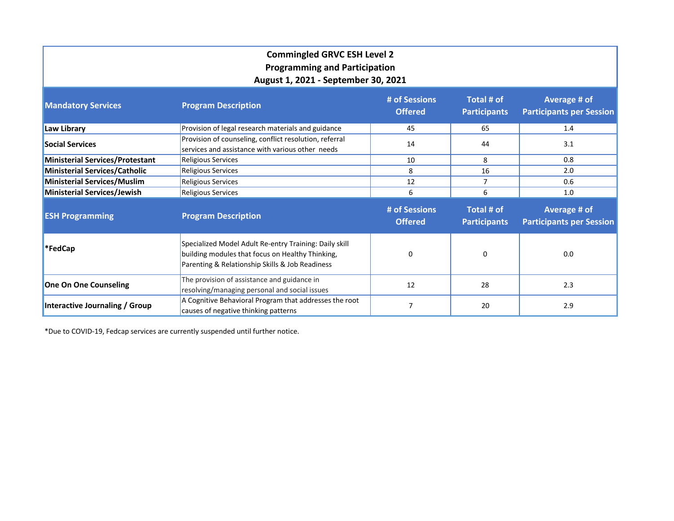| <b>Commingled GRVC ESH Level 2</b><br><b>Programming and Participation</b><br>August 1, 2021 - September 30, 2021 |                                                                                                                                                               |                                 |                                   |                                                 |  |  |  |  |  |
|-------------------------------------------------------------------------------------------------------------------|---------------------------------------------------------------------------------------------------------------------------------------------------------------|---------------------------------|-----------------------------------|-------------------------------------------------|--|--|--|--|--|
| <b>Mandatory Services</b>                                                                                         | <b>Program Description</b>                                                                                                                                    | # of Sessions<br><b>Offered</b> | Total # of<br><b>Participants</b> | Average # of<br><b>Participants per Session</b> |  |  |  |  |  |
| Law Library                                                                                                       | Provision of legal research materials and guidance                                                                                                            | 45                              | 65                                | 1.4                                             |  |  |  |  |  |
| <b>Social Services</b>                                                                                            | Provision of counseling, conflict resolution, referral<br>services and assistance with various other needs                                                    | 14                              | 44                                | 3.1                                             |  |  |  |  |  |
| <b>Ministerial Services/Protestant</b>                                                                            | <b>Religious Services</b>                                                                                                                                     | 10                              | 8                                 | 0.8                                             |  |  |  |  |  |
| <b>Ministerial Services/Catholic</b>                                                                              | <b>Religious Services</b>                                                                                                                                     | 8                               | 16                                | 2.0                                             |  |  |  |  |  |
| <b>Ministerial Services/Muslim</b>                                                                                | <b>Religious Services</b>                                                                                                                                     | 12                              | $\overline{7}$                    | 0.6                                             |  |  |  |  |  |
| Ministerial Services/Jewish                                                                                       | <b>Religious Services</b><br>6                                                                                                                                | 6                               | 1.0                               |                                                 |  |  |  |  |  |
| <b>ESH Programming</b>                                                                                            | <b>Program Description</b>                                                                                                                                    | # of Sessions<br><b>Offered</b> | Total # of<br><b>Participants</b> | Average # of<br><b>Participants per Session</b> |  |  |  |  |  |
| <b>*FedCap</b>                                                                                                    | Specialized Model Adult Re-entry Training: Daily skill<br>building modules that focus on Healthy Thinking,<br>Parenting & Relationship Skills & Job Readiness | 0                               | 0                                 | 0.0                                             |  |  |  |  |  |
| <b>One On One Counseling</b>                                                                                      | The provision of assistance and guidance in<br>resolving/managing personal and social issues                                                                  | 12                              | 28                                | 2.3                                             |  |  |  |  |  |
| Interactive Journaling / Group                                                                                    | A Cognitive Behavioral Program that addresses the root<br>causes of negative thinking patterns                                                                | 7                               | 20                                | 2.9                                             |  |  |  |  |  |

\*Due to COVID-19, Fedcap services are currently suspended until further notice.